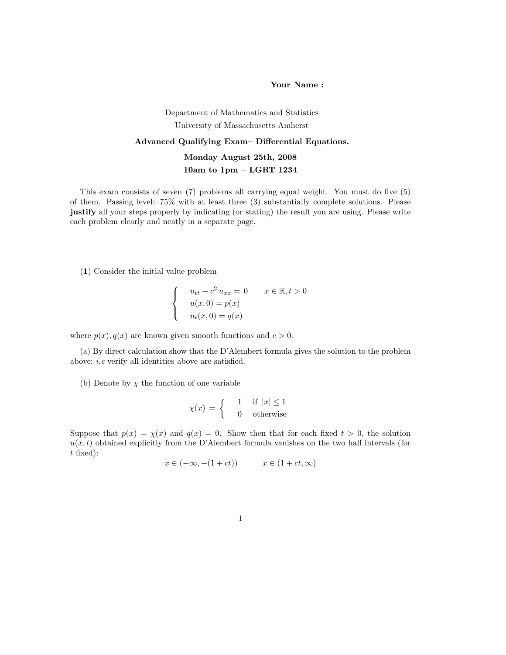Your Name :

## Department of Mathematics and Statistics University of Massachusetts Amherst Advanced Qualifying Exam– Differential Equations. Monday August 25th, 2008 10am to 1pm – LGRT 1234

This exam consists of seven (7) problems all carrying equal weight. You must do five (5) of them. Passing level: 75% with at least three (3) substantially complete solutions. Please justify all your steps properly by indicating (or stating) the result you are using. Please write each problem clearly and neatly in a separate page.

(1) Consider the initial value problem

$$
\begin{cases}\n u_{tt} - c^2 u_{xx} = 0 & x \in \mathbb{R}, t > 0 \\
 u(x, 0) = p(x) \\
 u_t(x, 0) = q(x)\n\end{cases}
$$

where  $p(x)$ ,  $q(x)$  are known given smooth functions and  $c > 0$ .

(a) By direct calculation show that the D'Alembert formula gives the solution to the problem above; i.e verify all identities above are satisfied.

(b) Denote by  $\chi$  the function of one variable

$$
\chi(x) = \begin{cases} 1 & \text{if } |x| \le 1 \\ 0 & \text{otherwise} \end{cases}
$$

Suppose that  $p(x) = \chi(x)$  and  $q(x) = 0$ . Show then that for each fixed  $t > 0$ , the solution  $u(x, t)$  obtained explicitly from the D'Alembert formula vanishes on the two half intervals (for t fixed):

$$
x \in (-\infty, -(1+ct)) \qquad x \in (1+ct, \infty)
$$

1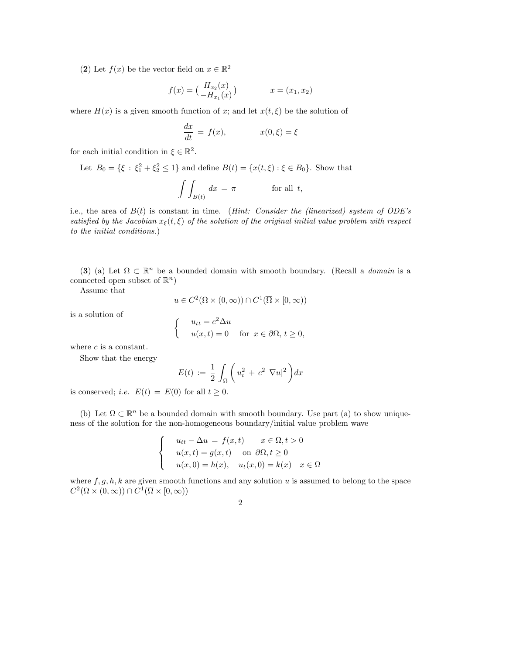(2) Let  $f(x)$  be the vector field on  $x \in \mathbb{R}^2$ 

$$
f(x) = \begin{pmatrix} H_{x_2}(x) \\ -H_{x_1}(x) \end{pmatrix} \qquad x = (x_1, x_2)
$$

where  $H(x)$  is a given smooth function of x; and let  $x(t, \xi)$  be the solution of

$$
\frac{dx}{dt} = f(x), \qquad x(0,\xi) = \xi
$$

for each initial condition in  $\xi \in \mathbb{R}^2$ .

Let 
$$
B_0 = \{\xi : \xi_1^2 + \xi_2^2 \le 1\}
$$
 and define  $B(t) = \{x(t, \xi) : \xi \in B_0\}$ . Show that

$$
\int \int_{B(t)} dx = \pi \qquad \text{for all } t,
$$

i.e., the area of  $B(t)$  is constant in time. (*Hint: Consider the (linearized) system of ODE's* satisfied by the Jacobian  $x_{\xi}(t,\xi)$  of the solution of the original initial value problem with respect to the initial conditions.)

(3) (a) Let  $\Omega \subset \mathbb{R}^n$  be a bounded domain with smooth boundary. (Recall a *domain* is a connected open subset of  $\mathbb{R}^n$ )

Assume that

$$
u \in C^2(\Omega \times (0,\infty)) \cap C^1(\overline{\Omega} \times [0,\infty))
$$

is a solution of

$$
\begin{cases}\n u_{tt} = c^2 \Delta u \\
 u(x, t) = 0 \quad \text{for } x \in \partial \Omega, \ t \ge 0,\n\end{cases}
$$

where c is a constant.

Show that the energy

$$
E(t) := \frac{1}{2} \int_{\Omega} \left( u_t^2 + c^2 |\nabla u|^2 \right) dx
$$

is conserved; *i.e.*  $E(t) = E(0)$  for all  $t \ge 0$ .

(b) Let  $\Omega \subset \mathbb{R}^n$  be a bounded domain with smooth boundary. Use part (a) to show uniqueness of the solution for the non-homogeneous boundary/initial value problem wave

$$
\begin{cases}\n u_{tt} - \Delta u = f(x, t) & x \in \Omega, t > 0 \\
 u(x, t) = g(x, t) & \text{on } \partial\Omega, t \ge 0 \\
 u(x, 0) = h(x), & u_t(x, 0) = k(x) & x \in \Omega\n\end{cases}
$$

where  $f, g, h, k$  are given smooth functions and any solution u is assumed to belong to the space  $C^2(\Omega\times(0,\infty))\cap C^1(\overline{\Omega}\times[0,\infty))$ 

$$
\overline{2}
$$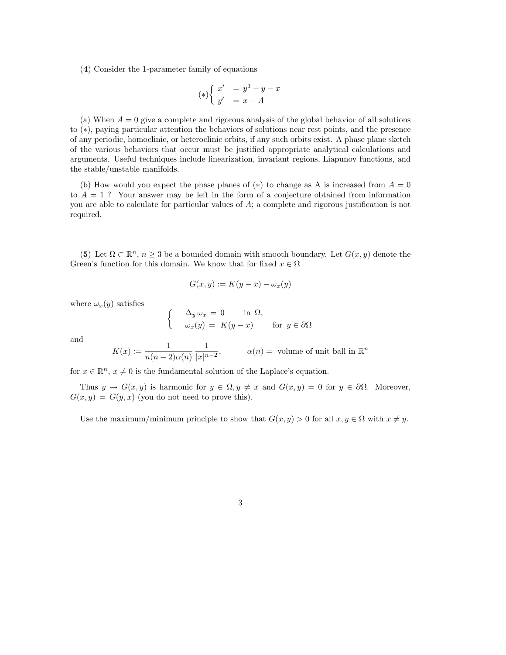(4) Consider the 1-parameter family of equations

$$
(*)\begin{cases} x' &= y^3 - y - x \\ y' &= x - A \end{cases}
$$

(a) When  $A = 0$  give a complete and rigorous analysis of the global behavior of all solutions to (∗), paying particular attention the behaviors of solutions near rest points, and the presence of any periodic, homoclinic, or heteroclinic orbits, if any such orbits exist. A phase plane sketch of the various behaviors that occur must be justified appropriate analytical calculations and arguments. Useful techniques include linearization, invariant regions, Liapunov functions, and the stable/unstable manifolds.

(b) How would you expect the phase planes of  $(*)$  to change as A is increased from  $A = 0$ to  $A = 1$ ? Your answer may be left in the form of a conjecture obtained from information you are able to calculate for particular values of A; a complete and rigorous justification is not required.

(5) Let  $\Omega \subset \mathbb{R}^n$ ,  $n \geq 3$  be a bounded domain with smooth boundary. Let  $G(x, y)$  denote the Green's function for this domain. We know that for fixed  $x \in \Omega$ 

$$
G(x, y) := K(y - x) - \omega_x(y)
$$

where  $\omega_x(y)$  satisfies

$$
\begin{cases}\n\Delta_y \omega_x = 0 & \text{in } \Omega, \\
\omega_x(y) = K(y - x) & \text{for } y \in \partial\Omega\n\end{cases}
$$

and

$$
K(x) := \frac{1}{n(n-2)\alpha(n)} \frac{1}{|x|^{n-2}}, \qquad \alpha(n) = \text{ volume of unit ball in } \mathbb{R}^n
$$

for  $x \in \mathbb{R}^n$ ,  $x \neq 0$  is the fundamental solution of the Laplace's equation.

Thus  $y \to G(x, y)$  is harmonic for  $y \in \Omega, y \neq x$  and  $G(x, y) = 0$  for  $y \in \partial \Omega$ . Moreover,  $G(x, y) = G(y, x)$  (you do not need to prove this).

Use the maximum/minimum principle to show that  $G(x, y) > 0$  for all  $x, y \in \Omega$  with  $x \neq y$ .

3